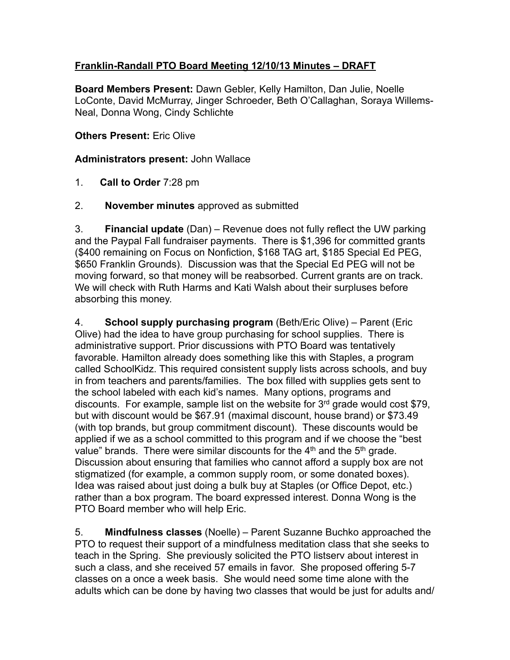## **Franklin-Randall PTO Board Meeting 12/10/13 Minutes – DRAFT**

**Board Members Present:** Dawn Gebler, Kelly Hamilton, Dan Julie, Noelle LoConte, David McMurray, Jinger Schroeder, Beth O'Callaghan, Soraya Willems-Neal, Donna Wong, Cindy Schlichte

## **Others Present:** Eric Olive

## **Administrators present:** John Wallace

- 1. **Call to Order** 7:28 pm
- 2. **November minutes** approved as submitted

3. **Financial update** (Dan) – Revenue does not fully reflect the UW parking and the Paypal Fall fundraiser payments. There is \$1,396 for committed grants (\$400 remaining on Focus on Nonfiction, \$168 TAG art, \$185 Special Ed PEG, \$650 Franklin Grounds). Discussion was that the Special Ed PEG will not be moving forward, so that money will be reabsorbed. Current grants are on track. We will check with Ruth Harms and Kati Walsh about their surpluses before absorbing this money.

4. **School supply purchasing program** (Beth/Eric Olive) – Parent (Eric Olive) had the idea to have group purchasing for school supplies. There is administrative support. Prior discussions with PTO Board was tentatively favorable. Hamilton already does something like this with Staples, a program called SchoolKidz. This required consistent supply lists across schools, and buy in from teachers and parents/families. The box filled with supplies gets sent to the school labeled with each kid's names. Many options, programs and discounts. For example, sample list on the website for 3rd grade would cost \$79, but with discount would be \$67.91 (maximal discount, house brand) or \$73.49 (with top brands, but group commitment discount). These discounts would be applied if we as a school committed to this program and if we choose the "best value" brands. There were similar discounts for the  $4<sup>th</sup>$  and the  $5<sup>th</sup>$  grade. Discussion about ensuring that families who cannot afford a supply box are not stigmatized (for example, a common supply room, or some donated boxes). Idea was raised about just doing a bulk buy at Staples (or Office Depot, etc.) rather than a box program. The board expressed interest. Donna Wong is the PTO Board member who will help Eric.

5. **Mindfulness classes** (Noelle) – Parent Suzanne Buchko approached the PTO to request their support of a mindfulness meditation class that she seeks to teach in the Spring. She previously solicited the PTO listserv about interest in such a class, and she received 57 emails in favor. She proposed offering 5-7 classes on a once a week basis. She would need some time alone with the adults which can be done by having two classes that would be just for adults and/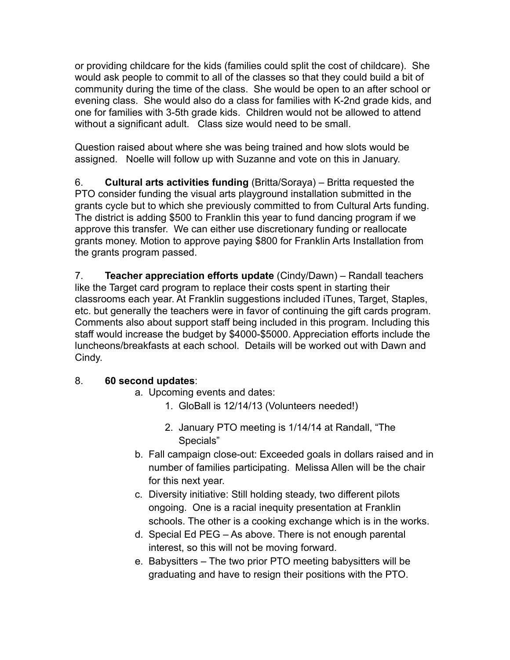or providing childcare for the kids (families could split the cost of childcare). She would ask people to commit to all of the classes so that they could build a bit of community during the time of the class. She would be open to an after school or evening class. She would also do a class for families with K-2nd grade kids, and one for families with 3-5th grade kids. Children would not be allowed to attend without a significant adult. Class size would need to be small.

Question raised about where she was being trained and how slots would be assigned. Noelle will follow up with Suzanne and vote on this in January.

6. **Cultural arts activities funding** (Britta/Soraya) – Britta requested the PTO consider funding the visual arts playground installation submitted in the grants cycle but to which she previously committed to from Cultural Arts funding. The district is adding \$500 to Franklin this year to fund dancing program if we approve this transfer. We can either use discretionary funding or reallocate grants money. Motion to approve paying \$800 for Franklin Arts Installation from the grants program passed.

7. **Teacher appreciation efforts update** (Cindy/Dawn) – Randall teachers like the Target card program to replace their costs spent in starting their classrooms each year. At Franklin suggestions included iTunes, Target, Staples, etc. but generally the teachers were in favor of continuing the gift cards program. Comments also about support staff being included in this program. Including this staff would increase the budget by \$4000-\$5000. Appreciation efforts include the luncheons/breakfasts at each school. Details will be worked out with Dawn and Cindy.

## 8. **60 second updates**:

- a. Upcoming events and dates:
	- 1. GloBall is 12/14/13 (Volunteers needed!)
	- 2. January PTO meeting is 1/14/14 at Randall, "The Specials"
- b. Fall campaign close-out: Exceeded goals in dollars raised and in number of families participating. Melissa Allen will be the chair for this next year.
- c. Diversity initiative: Still holding steady, two different pilots ongoing. One is a racial inequity presentation at Franklin schools. The other is a cooking exchange which is in the works.
- d. Special Ed PEG As above. There is not enough parental interest, so this will not be moving forward.
- e. Babysitters The two prior PTO meeting babysitters will be graduating and have to resign their positions with the PTO.